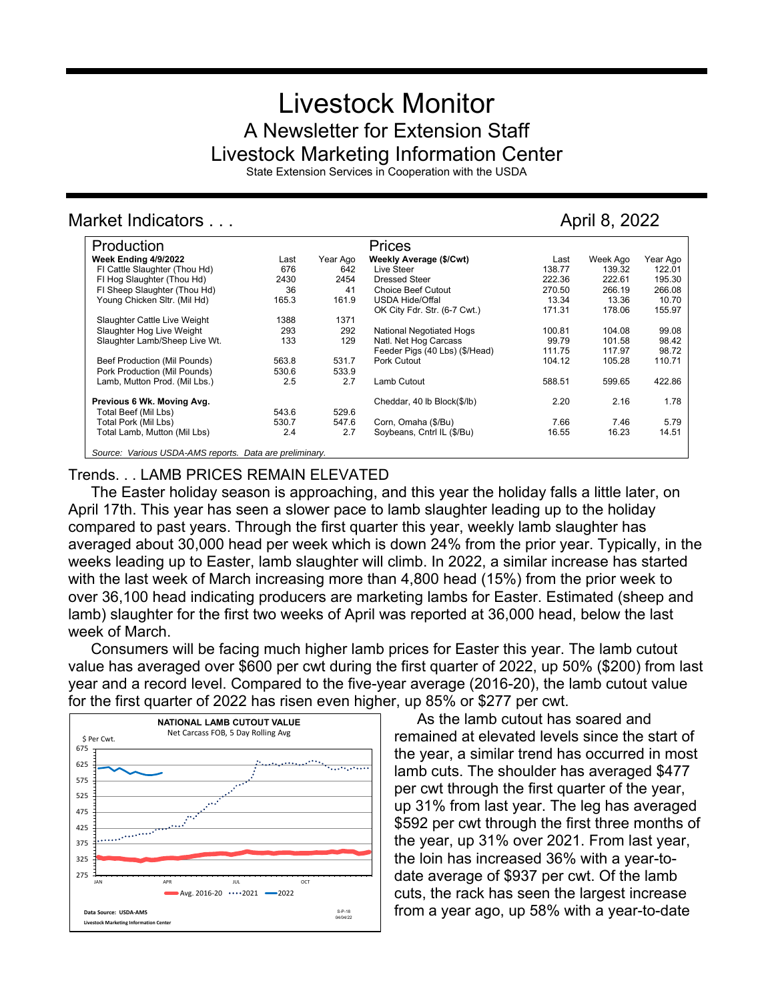# Livestock Monitor A Newsletter for Extension Staff Livestock Marketing Information Center

State Extension Services in Cooperation with the USDA

# Market Indicators . . . April 8, 2022

| Production                                              |       |          | Prices                          |        |          |          |
|---------------------------------------------------------|-------|----------|---------------------------------|--------|----------|----------|
| Week Ending 4/9/2022                                    | Last  | Year Ago | Weekly Average (\$/Cwt)         | Last   | Week Ago | Year Ago |
| FI Cattle Slaughter (Thou Hd)                           | 676   | 642      | Live Steer                      | 138.77 | 139.32   | 122.01   |
| FI Hog Slaughter (Thou Hd)                              | 2430  | 2454     | Dressed Steer                   | 222.36 | 222.61   | 195.30   |
| FI Sheep Slaughter (Thou Hd)                            | 36    | 41       | <b>Choice Beef Cutout</b>       | 270.50 | 266.19   | 266.08   |
| Young Chicken Sltr. (Mil Hd)                            | 165.3 | 161.9    | <b>USDA Hide/Offal</b>          | 13.34  | 13.36    | 10.70    |
|                                                         |       |          | OK City Fdr. Str. (6-7 Cwt.)    | 171.31 | 178.06   | 155.97   |
| Slaughter Cattle Live Weight                            | 1388  | 1371     |                                 |        |          |          |
| Slaughter Hog Live Weight                               | 293   | 292      | <b>National Negotiated Hogs</b> | 100.81 | 104.08   | 99.08    |
| Slaughter Lamb/Sheep Live Wt.                           | 133   | 129      | Natl. Net Hog Carcass           | 99.79  | 101.58   | 98.42    |
|                                                         |       |          | Feeder Pigs (40 Lbs) (\$/Head)  | 111.75 | 117.97   | 98.72    |
| Beef Production (Mil Pounds)                            | 563.8 | 531.7    | Pork Cutout                     | 104.12 | 105.28   | 110.71   |
| Pork Production (Mil Pounds)                            | 530.6 | 533.9    |                                 |        |          |          |
| Lamb, Mutton Prod. (Mil Lbs.)                           | 2.5   | 2.7      | Lamb Cutout                     | 588.51 | 599.65   | 422.86   |
| Previous 6 Wk. Moving Avg.                              |       |          | Cheddar, 40 lb Block(\$/lb)     | 2.20   | 2.16     | 1.78     |
| Total Beef (Mil Lbs)                                    | 543.6 | 529.6    |                                 |        |          |          |
| Total Pork (Mil Lbs)                                    | 530.7 | 547.6    | Corn, Omaha (\$/Bu)             | 7.66   | 7.46     | 5.79     |
| Total Lamb, Mutton (Mil Lbs)                            | 2.4   | 2.7      | Soybeans, Cntrl IL (\$/Bu)      | 16.55  | 16.23    | 14.51    |
| Source: Various USDA-AMS reports. Data are preliminary. |       |          |                                 |        |          |          |

## Trends. . . LAMB PRICES REMAIN ELEVATED

The Easter holiday season is approaching, and this year the holiday falls a little later, on April 17th. This year has seen a slower pace to lamb slaughter leading up to the holiday compared to past years. Through the first quarter this year, weekly lamb slaughter has averaged about 30,000 head per week which is down 24% from the prior year. Typically, in the weeks leading up to Easter, lamb slaughter will climb. In 2022, a similar increase has started with the last week of March increasing more than 4,800 head (15%) from the prior week to over 36,100 head indicating producers are marketing lambs for Easter. Estimated (sheep and lamb) slaughter for the first two weeks of April was reported at 36,000 head, below the last week of March.

Consumers will be facing much higher lamb prices for Easter this year. The lamb cutout value has averaged over \$600 per cwt during the first quarter of 2022, up 50% (\$200) from last year and a record level. Compared to the five-year average (2016-20), the lamb cutout value for the first quarter of 2022 has risen even higher, up 85% or \$277 per cwt.



As the lamb cutout has soared and remained at elevated levels since the start of the year, a similar trend has occurred in most lamb cuts. The shoulder has averaged \$477 per cwt through the first quarter of the year, up 31% from last year. The leg has averaged \$592 per cwt through the first three months of the year, up 31% over 2021. From last year, the loin has increased 36% with a year-todate average of \$937 per cwt. Of the lamb cuts, the rack has seen the largest increase from a year ago, up 58% with a year-to-date